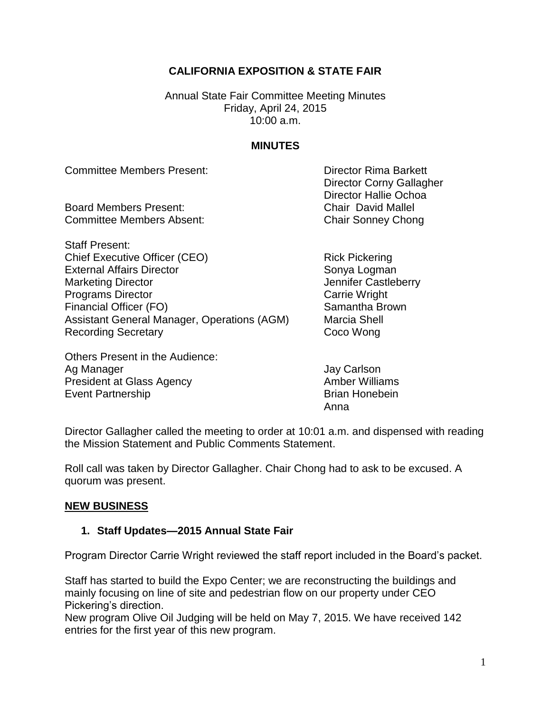## **CALIFORNIA EXPOSITION & STATE FAIR**

Annual State Fair Committee Meeting Minutes Friday, April 24, 2015 10:00 a.m.

## **MINUTES**

Committee Members Present: Director Rima Barkett

Board Members Present: Chair David Mallel Committee Members Absent: Chair Sonney Chong

Staff Present: Chief Executive Officer (CEO) Rick Pickering External Affairs Director Sonya Logman Marketing Director **Marketing Director** Marketing Director **Programs Director** Carrie Wright Financial Officer (FO) Samantha Brown Assistant General Manager, Operations (AGM) Marcia Shell Recording Secretary **Coco Wong** 

Others Present in the Audience: Ag Manager **Jay Carlson** President at Glass Agency **Amber Williams** Event Partnership **Brian Honebein** 

Director Corny Gallagher Director Hallie Ochoa

Anna

Director Gallagher called the meeting to order at 10:01 a.m. and dispensed with reading the Mission Statement and Public Comments Statement.

Roll call was taken by Director Gallagher. Chair Chong had to ask to be excused. A quorum was present.

## **NEW BUSINESS**

# **1. Staff Updates—2015 Annual State Fair**

Program Director Carrie Wright reviewed the staff report included in the Board's packet.

Staff has started to build the Expo Center; we are reconstructing the buildings and mainly focusing on line of site and pedestrian flow on our property under CEO Pickering's direction.

New program Olive Oil Judging will be held on May 7, 2015. We have received 142 entries for the first year of this new program.